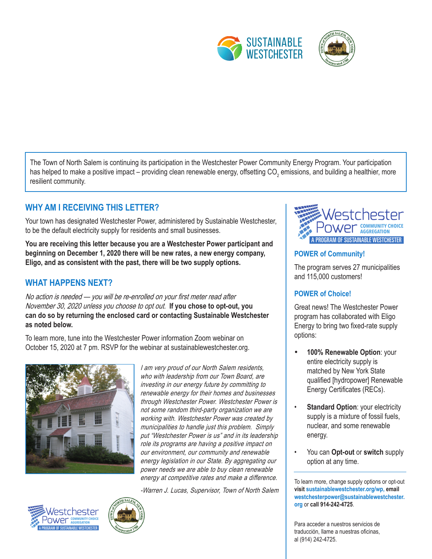

The Town of North Salem is continuing its participation in the Westchester Power Community Energy Program. Your participation has helped to make a positive impact – providing clean renewable energy, offsetting CO<sub>2</sub> emissions, and building a healthier, more resilient community.

# **WHY AM I RECEIVING THIS LETTER?**

Your town has designated Westchester Power, administered by Sustainable Westchester, to be the default electricity supply for residents and small businesses.

You are receiving this letter because you are a Westchester Power participant and **A PROGRAM OF SUSTAINABLE WESTCHESTER beginning on December 1, 2020 there will be new rates, a new energy company, Eligo, and as consistent with the past, there will be two supply options.**

## **WHAT HAPPENS NEXT?**

No action is needed — you will be re-enrolled on your first meter read after November 30, 2020 unless you choose to opt out. **If you chose to opt-out, you can do so by returning the enclosed card or contacting Sustainable Westchester as noted below.**

To learn more, tune into the Westchester Power information Zoom webinar on October 15, 2020 at 7 pm. RSVP for the webinar at sustainablewestchester.org.



I am very proud of our North Salem residents, who with leadership from our Town Board, are investing in our energy future by committing to renewable energy for their homes and businesses through Westchester Power. Westchester Power is not some random third-party organization we are working with. Westchester Power was created by municipalities to handle just this problem. Simply put "Westchester Power is us" and in its leadership role its programs are having a positive impact on our environment, our community and renewable energy legislation in our State. By aggregating our power needs we are able to buy clean renewable energy at competitive rates and make a difference.

-Warren J. Lucas, Supervisor, Town of North Salem







#### **POWER of Community!**

The program serves 27 municipalities and 115,000 customers!

#### **POWER of Choice!**

Great news! The Westchester Power program has collaborated with Eligo Energy to bring two fixed-rate supply options:

- **100% Renewable Option: your** entire electricity supply is matched by New York State qualified [hydropower] Renewable Energy Certificates (RECs).
- **Standard Option: your electricity** supply is a mixture of fossil fuels, nuclear, and some renewable energy.
- You can **Opt-out** or **switch** supply option at any time.

To learn more, change supply options or opt-out **visit sustainablewestchester.org/wp, email westchesterpower@sustainablewestchester. org** or **call 914-242-4725**.

Para acceder a nuestros servicios de traducción, llame a nuestras oficinas, al (914) 242-4725.